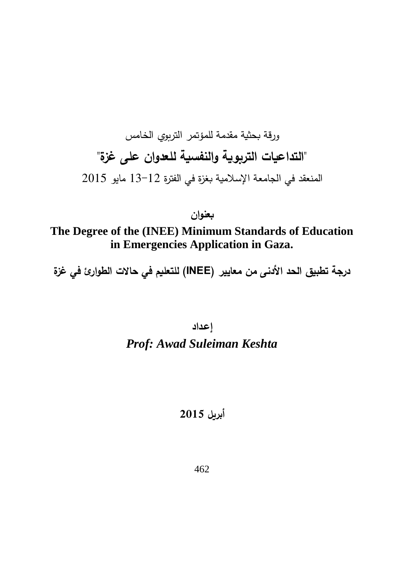# ورقة بحثية مقدمة للمؤتمر التربوي الخامس **"التداعيات التربوية والنفسية للعدوان على غزة"**  المنعقد في الجامعة اإلسالمية بغزة في الفترة 13-12 مايو 2015

# **بعنوان The Degree of the (INEE) Minimum Standards of Education in Emergencies Application in Gaza.**

**درجة تطبيق الحد األدنى من معايير )INEE )للتعليم في حاالت الطوارئ في غزة**

# **إعـداد** *Prof: Awad Suleiman Keshta*

# **أبريل 2015**

462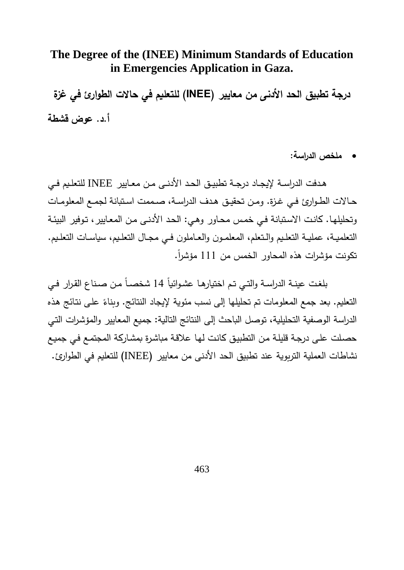# **The Degree of the (INEE) Minimum Standards of Education in Emergencies Application in Gaza.**

**درجة تطبيق الحد األدنى من معايير )INEE )للتعليم في حاالت الطوارئ في غزة أ.د. عوض قشطة**

**ملخص الدراسة:** 

هــدفت الدراســة إليجــاد درجــة تطبيــق الحــد األدنــى مــن معــايير INEE للتعلــيم فــي حــالات الطـوارئ فــي غـزة. ومـن تحقيـق هـدف الدراسـة، صـممت اسـتبانة لجمــع المعلومـات وتحليلهـا. كانـت ا سـتبانة فـي خمـس محـاور وهـي: الحـد األدنـى مـن المعـايير تـوفير البيئـة التعلميــة، عمليــة التعلـيم والـتعلم، المعلمـون والعــاملون فــي مجـال التعلـيم، سياسـات التعلـيم. تكونت مؤشرات هذه المحاور الخمس من 111 مؤشراً.

بلغت عينـة الدراسـة والتـي تـم اختيارهـا عشـوائياً 14 شخصــاً مـن صـنـاع القـرار فـي التعليم. بعد جمع المعلومات تم تحليلها إلى نسب مئوية لإيجاد النتائج. وبناءً على نتائج هذه الدراسة الوصفية التحليلية توصل الباحث إلى النتائج التالية: جميع المعايير والمؤشـرات التـي حصـلت علـى درجـة قليلـة مـن التطبيـق كانـت لهـا عالقـة مباشـرة بمشـاركة المجتمـع فـي جميـع نشاطات العملية التربوية عند تطبيق الحد األدنى من معايير INEE )للتعليم في الطوارء.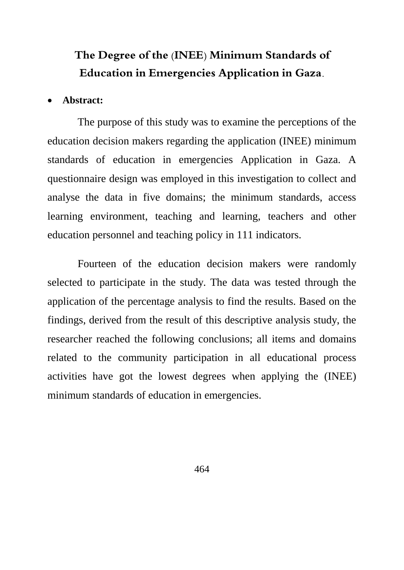# **The Degree of the (INEE) Minimum Standards of Education in Emergencies Application in Gaza.**

#### **Abstract:**

The purpose of this study was to examine the perceptions of the education decision makers regarding the application (INEE) minimum standards of education in emergencies Application in Gaza. A questionnaire design was employed in this investigation to collect and analyse the data in five domains; the minimum standards, access learning environment, teaching and learning, teachers and other education personnel and teaching policy in 111 indicators.

Fourteen of the education decision makers were randomly selected to participate in the study. The data was tested through the application of the percentage analysis to find the results. Based on the findings, derived from the result of this descriptive analysis study, the researcher reached the following conclusions; all items and domains related to the community participation in all educational process activities have got the lowest degrees when applying the (INEE) minimum standards of education in emergencies.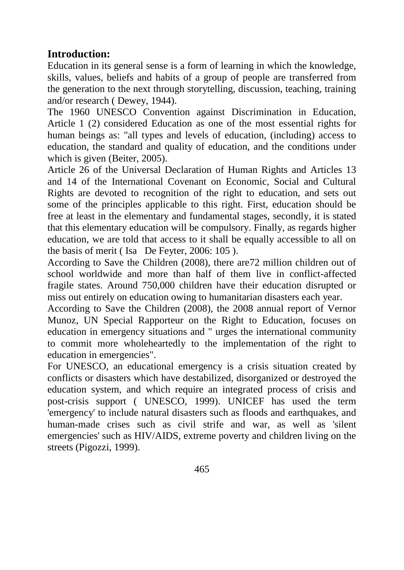# **Introduction:**

Education in its general sense is a form of learning in which the knowledge, skills, values, beliefs and habits of a group of people are transferred from the generation to the next through storytelling, discussion, teaching, training and/or research ( Dewey, 1944).

The 1960 UNESCO Convention against Discrimination in Education, Article 1 (2) considered Education as one of the most essential rights for human beings as: "all types and levels of education, (including) access to education, the standard and quality of education, and the conditions under which is given (Beiter, 2005).

Article 26 of the Universal Declaration of Human Rights and Articles 13 and 14 of the International Covenant on Economic, Social and Cultural Rights are devoted to recognition of the right to education, and sets out some of the principles applicable to this right. First, education should be free at least in the elementary and fundamental stages, secondly, it is stated that this elementary education will be compulsory. Finally, as regards higher education, we are told that access to it shall be equally accessible to all on the basis of merit ( Isa De Feyter, 2006: 105 ).

According to Save the Children (2008), there are72 million children out of school worldwide and more than half of them live in conflict-affected fragile states. Around 750,000 children have their education disrupted or miss out entirely on education owing to humanitarian disasters each year.

According to Save the Children (2008), the 2008 annual report of Vernor Munoz, UN Special Rapporteur on the Right to Education, focuses on education in emergency situations and " urges the international community to commit more wholeheartedly to the implementation of the right to education in emergencies".

For UNESCO, an educational emergency is a crisis situation created by conflicts or disasters which have destabilized, disorganized or destroyed the education system, and which require an integrated process of crisis and post-crisis support ( UNESCO, 1999). UNICEF has used the term 'emergency' to include natural disasters such as floods and earthquakes, and human-made crises such as civil strife and war, as well as 'silent emergencies' such as HIV/AIDS, extreme poverty and children living on the streets (Pigozzi, 1999).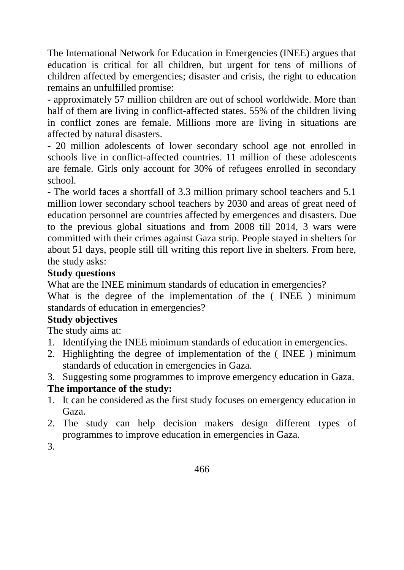The International Network for Education in Emergencies (INEE) argues that education is critical for all children, but urgent for tens of millions of children affected by emergencies; disaster and crisis, the right to education remains an unfulfilled promise:

- approximately 57 million children are out of school worldwide. More than half of them are living in conflict-affected states. 55% of the children living in conflict zones are female. Millions more are living in situations are affected by natural disasters.

- 20 million adolescents of lower secondary school age not enrolled in schools live in conflict-affected countries. 11 million of these adolescents are female. Girls only account for 30% of refugees enrolled in secondary school.

- The world faces a shortfall of 3.3 million primary school teachers and 5.1 million lower secondary school teachers by 2030 and areas of great need of education personnel are countries affected by emergences and disasters. Due to the previous global situations and from 2008 till 2014, 3 wars were committed with their crimes against Gaza strip. People stayed in shelters for about 51 days, people still till writing this report live in shelters. From here, the study asks:

#### **Study questions**

What are the INEE minimum standards of education in emergencies?

What is the degree of the implementation of the ( INEE ) minimum standards of education in emergencies?

# **Study objectives**

The study aims at:

- 1. Identifying the INEE minimum standards of education in emergencies.
- 2. Highlighting the degree of implementation of the ( INEE ) minimum standards of education in emergencies in Gaza.
- 3. Suggesting some programmes to improve emergency education in Gaza.

# **The importance of the study:**

- 1. It can be considered as the first study focuses on emergency education in Gaza.
- 2. The study can help decision makers design different types of programmes to improve education in emergencies in Gaza.

3.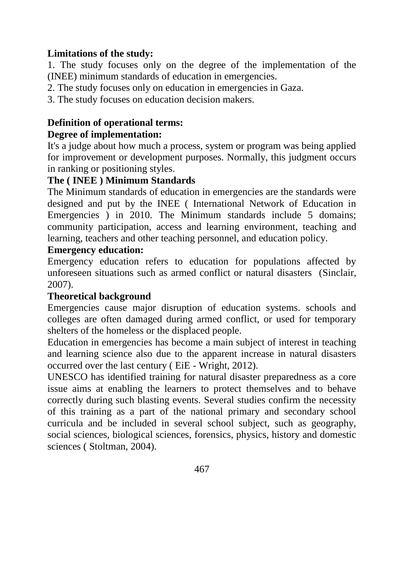# **Limitations of the study:**

1. The study focuses only on the degree of the implementation of the (INEE) minimum standards of education in emergencies.

2. The study focuses only on education in emergencies in Gaza.

3. The study focuses on education decision makers.

# **Definition of operational terms:**

# **Degree of implementation:**

It's a judge about how much a process, system or program was being applied for improvement or development purposes. Normally, this judgment occurs in ranking or positioning styles.

# **The ( INEE ) Minimum Standards**

The Minimum standards of education in emergencies are the standards were designed and put by the INEE ( International Network of Education in Emergencies ) in 2010. The Minimum standards include 5 domains; community participation, access and learning environment, teaching and learning, teachers and other teaching personnel, and education policy.

# **Emergency education:**

Emergency education refers to education for populations affected by unforeseen situations such as armed conflict or natural disasters (Sinclair, 2007).

# **Theoretical background**

Emergencies cause major disruption of education systems. schools and colleges are often damaged during armed conflict, or used for temporary shelters of the homeless or the displaced people.

Education in emergencies has become a main subject of interest in teaching and learning science also due to the apparent increase in natural disasters occurred over the last century ( EiE - Wright, 2012).

UNESCO has identified training for natural disaster preparedness as a core issue aims at enabling the learners to protect themselves and to behave correctly during such blasting events. Several studies confirm the necessity of this training as a part of the national primary and secondary school curricula and be included in several school subject, such as geography, social sciences, biological sciences, forensics, physics, history and domestic sciences ( Stoltman, 2004).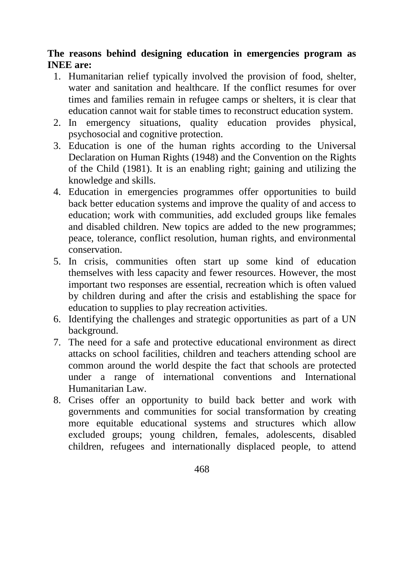# **The reasons behind designing education in emergencies program as INEE are:**

- 1. Humanitarian relief typically involved the provision of food, shelter, water and sanitation and healthcare. If the conflict resumes for over times and families remain in refugee camps or shelters, it is clear that education cannot wait for stable times to reconstruct education system.
- 2. In emergency situations, quality education provides physical, psychosocial and cognitive protection.
- 3. Education is one of the human rights according to the Universal Declaration on Human Rights (1948) and the Convention on the Rights of the Child (1981). It is an enabling right; gaining and utilizing the knowledge and skills.
- 4. Education in emergencies programmes offer opportunities to build back better education systems and improve the quality of and access to education; work with communities, add excluded groups like females and disabled children. New topics are added to the new programmes; peace, tolerance, conflict resolution, human rights, and environmental conservation.
- 5. In crisis, communities often start up some kind of education themselves with less capacity and fewer resources. However, the most important two responses are essential, recreation which is often valued by children during and after the crisis and establishing the space for education to supplies to play recreation activities.
- 6. Identifying the challenges and strategic opportunities as part of a UN background.
- 7. The need for a safe and protective educational environment as direct attacks on school facilities, children and teachers attending school are common around the world despite the fact that schools are protected under a range of international conventions and International Humanitarian Law.
- 8. Crises offer an opportunity to build back better and work with governments and communities for social transformation by creating more equitable educational systems and structures which allow excluded groups; young children, females, adolescents, disabled children, refugees and internationally displaced people, to attend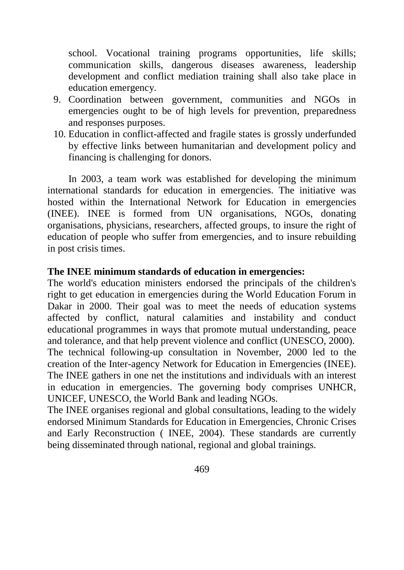school. Vocational training programs opportunities, life skills; communication skills, dangerous diseases awareness, leadership development and conflict mediation training shall also take place in education emergency.

- 9. Coordination between government, communities and NGOs in emergencies ought to be of high levels for prevention, preparedness and responses purposes.
- 10. Education in conflict-affected and fragile states is grossly underfunded by effective links between humanitarian and development policy and financing is challenging for donors.

In 2003, a team work was established for developing the minimum international standards for education in emergencies. The initiative was hosted within the International Network for Education in emergencies (INEE). INEE is formed from UN organisations, NGOs, donating organisations, physicians, researchers, affected groups, to insure the right of education of people who suffer from emergencies, and to insure rebuilding in post crisis times.

#### **The INEE minimum standards of education in emergencies:**

The world's education ministers endorsed the principals of the children's right to get education in emergencies during the World Education Forum in Dakar in 2000. Their goal was to meet the needs of education systems affected by conflict, natural calamities and instability and conduct educational programmes in ways that promote mutual understanding, peace and tolerance, and that help prevent violence and conflict (UNESCO, 2000). The technical following-up consultation in November, 2000 led to the creation of the Inter-agency Network for Education in Emergencies (INEE). The INEE gathers in one net the institutions and individuals with an interest in education in emergencies. The governing body comprises UNHCR, UNICEF, UNESCO, the World Bank and leading NGOs.

The INEE organises regional and global consultations, leading to the widely endorsed Minimum Standards for Education in Emergencies, Chronic Crises and Early Reconstruction ( INEE, 2004). These standards are currently being disseminated through national, regional and global trainings.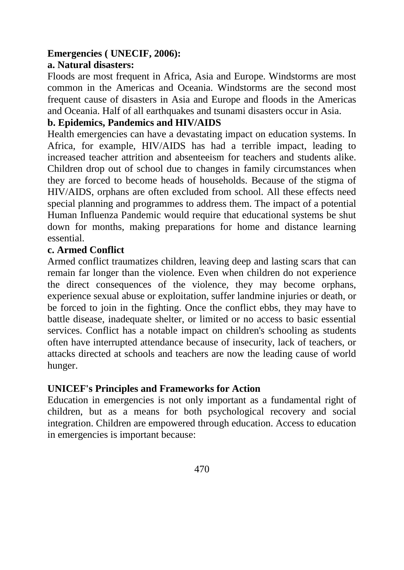# **Emergencies ( UNECIF, 2006):**

#### **a. Natural disasters:**

Floods are most frequent in Africa, Asia and Europe. Windstorms are most common in the Americas and Oceania. Windstorms are the second most frequent cause of disasters in Asia and Europe and floods in the Americas and Oceania. Half of all earthquakes and tsunami disasters occur in Asia.

#### **b. Epidemics, Pandemics and HIV/AIDS**

Health emergencies can have a devastating impact on education systems. In Africa, for example, HIV/AIDS has had a terrible impact, leading to increased teacher attrition and absenteeism for teachers and students alike. Children drop out of school due to changes in family circumstances when they are forced to become heads of households. Because of the stigma of HIV/AIDS, orphans are often excluded from school. All these effects need special planning and programmes to address them. The impact of a potential Human Influenza Pandemic would require that educational systems be shut down for months, making preparations for home and distance learning essential.

#### **c. Armed Conflict**

Armed conflict traumatizes children, leaving deep and lasting scars that can remain far longer than the violence. Even when children do not experience the direct consequences of the violence, they may become orphans, experience sexual abuse or exploitation, suffer landmine injuries or death, or be forced to join in the fighting. Once the conflict ebbs, they may have to battle disease, inadequate shelter, or limited or no access to basic essential services. Conflict has a notable impact on children's schooling as students often have interrupted attendance because of insecurity, lack of teachers, or attacks directed at schools and teachers are now the leading cause of world hunger.

# **UNICEF's Principles and Frameworks for Action**

Education in emergencies is not only important as a fundamental right of children, but as a means for both psychological recovery and social integration. Children are empowered through education. Access to education in emergencies is important because: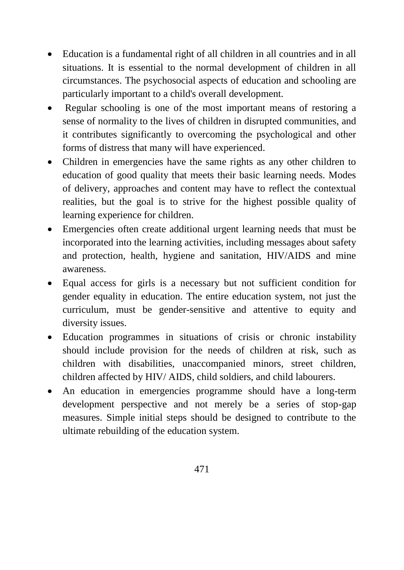- Education is a fundamental right of all children in all countries and in all situations. It is essential to the normal development of children in all circumstances. The psychosocial aspects of education and schooling are particularly important to a child's overall development.
- Regular schooling is one of the most important means of restoring a sense of normality to the lives of children in disrupted communities, and it contributes significantly to overcoming the psychological and other forms of distress that many will have experienced.
- Children in emergencies have the same rights as any other children to education of good quality that meets their basic learning needs. Modes of delivery, approaches and content may have to reflect the contextual realities, but the goal is to strive for the highest possible quality of learning experience for children.
- Emergencies often create additional urgent learning needs that must be incorporated into the learning activities, including messages about safety and protection, health, hygiene and sanitation, HIV/AIDS and mine awareness.
- Equal access for girls is a necessary but not sufficient condition for gender equality in education. The entire education system, not just the curriculum, must be gender-sensitive and attentive to equity and diversity issues.
- Education programmes in situations of crisis or chronic instability should include provision for the needs of children at risk, such as children with disabilities, unaccompanied minors, street children, children affected by HIV/ AIDS, child soldiers, and child labourers.
- An education in emergencies programme should have a long-term development perspective and not merely be a series of stop-gap measures. Simple initial steps should be designed to contribute to the ultimate rebuilding of the education system.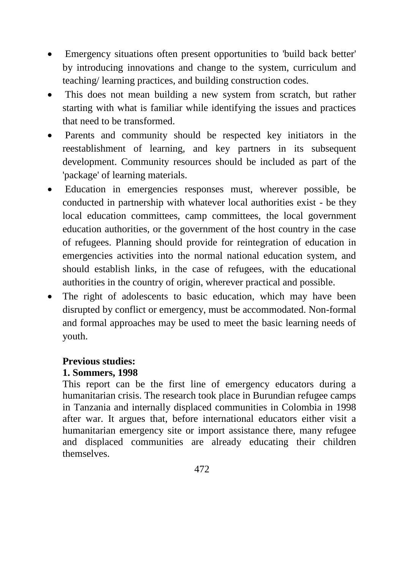- Emergency situations often present opportunities to 'build back better' by introducing innovations and change to the system, curriculum and teaching/ learning practices, and building construction codes.
- This does not mean building a new system from scratch, but rather starting with what is familiar while identifying the issues and practices that need to be transformed.
- Parents and community should be respected key initiators in the reestablishment of learning, and key partners in its subsequent development. Community resources should be included as part of the 'package' of learning materials.
- Education in emergencies responses must, wherever possible, be conducted in partnership with whatever local authorities exist - be they local education committees, camp committees, the local government education authorities, or the government of the host country in the case of refugees. Planning should provide for reintegration of education in emergencies activities into the normal national education system, and should establish links, in the case of refugees, with the educational authorities in the country of origin, wherever practical and possible.
- The right of adolescents to basic education, which may have been disrupted by conflict or emergency, must be accommodated. Non-formal and formal approaches may be used to meet the basic learning needs of youth.

#### **Previous studies: 1. Sommers, 1998**

This report can be the first line of emergency educators during a humanitarian crisis. The research took place in Burundian refugee camps in Tanzania and internally displaced communities in Colombia in 1998 after war. It argues that, before international educators either visit a humanitarian emergency site or import assistance there, many refugee and displaced communities are already educating their children themselves.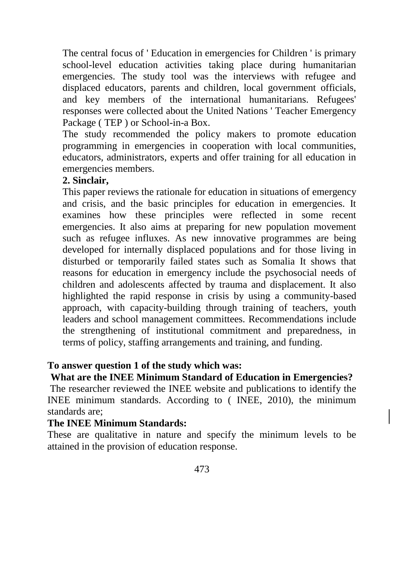The central focus of ' Education in emergencies for Children ' is primary school-level education activities taking place during humanitarian emergencies. The study tool was the interviews with refugee and displaced educators, parents and children, local government officials, and key members of the international humanitarians. Refugees' responses were collected about the United Nations ' Teacher Emergency Package ( TEP ) or School-in-a Box.

The study recommended the policy makers to promote education programming in emergencies in cooperation with local communities, educators, administrators, experts and offer training for all education in emergencies members.

#### **2. Sinclair,**

This paper reviews the rationale for education in situations of emergency and crisis, and the basic principles for education in emergencies. It examines how these principles were reflected in some recent emergencies. It also aims at preparing for new population movement such as refugee influxes. As new innovative programmes are being developed for internally displaced populations and for those living in disturbed or temporarily failed states such as Somalia It shows that reasons for education in emergency include the psychosocial needs of children and adolescents affected by trauma and displacement. It also highlighted the rapid response in crisis by using a community-based approach, with capacity-building through training of teachers, youth leaders and school management committees. Recommendations include the strengthening of institutional commitment and preparedness, in terms of policy, staffing arrangements and training, and funding.

# **To answer question 1 of the study which was:**

# **What are the INEE Minimum Standard of Education in Emergencies?**

The researcher reviewed the INEE website and publications to identify the INEE minimum standards. According to ( INEE, 2010), the minimum standards are;

#### **The INEE Minimum Standards:**

These are qualitative in nature and specify the minimum levels to be attained in the provision of education response.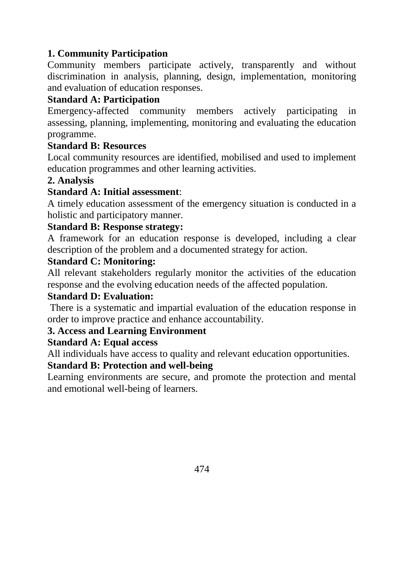# **1. Community Participation**

Community members participate actively, transparently and without discrimination in analysis, planning, design, implementation, monitoring and evaluation of education responses.

## **Standard A: Participation**

Emergency-affected community members actively participating in assessing, planning, implementing, monitoring and evaluating the education programme.

#### **Standard B: Resources**

Local community resources are identified, mobilised and used to implement education programmes and other learning activities.

# **2. Analysis**

#### **Standard A: Initial assessment**:

A timely education assessment of the emergency situation is conducted in a holistic and participatory manner.

#### **Standard B: Response strategy:**

A framework for an education response is developed, including a clear description of the problem and a documented strategy for action.

#### **Standard C: Monitoring:**

All relevant stakeholders regularly monitor the activities of the education response and the evolving education needs of the affected population.

#### **Standard D: Evaluation:**

There is a systematic and impartial evaluation of the education response in order to improve practice and enhance accountability.

# **3. Access and Learning Environment**

#### **Standard A: Equal access**

All individuals have access to quality and relevant education opportunities.

#### **Standard B: Protection and well-being**

Learning environments are secure, and promote the protection and mental and emotional well-being of learners.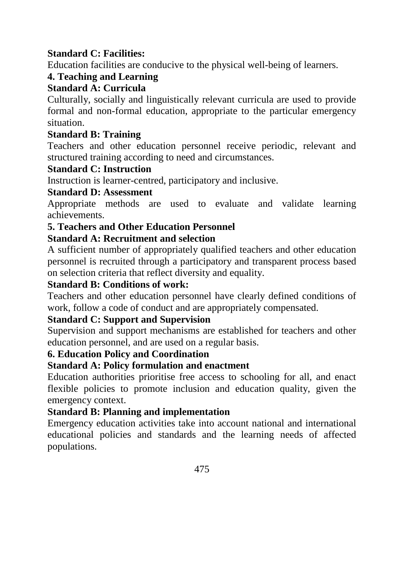# **Standard C: Facilities:**

Education facilities are conducive to the physical well-being of learners.

# **4. Teaching and Learning**

# **Standard A: Curricula**

Culturally, socially and linguistically relevant curricula are used to provide formal and non-formal education, appropriate to the particular emergency situation.

# **Standard B: Training**

Teachers and other education personnel receive periodic, relevant and structured training according to need and circumstances.

# **Standard C: Instruction**

Instruction is learner-centred, participatory and inclusive.

#### **Standard D: Assessment**

Appropriate methods are used to evaluate and validate learning achievements.

# **5. Teachers and Other Education Personnel**

# **Standard A: Recruitment and selection**

A sufficient number of appropriately qualified teachers and other education personnel is recruited through a participatory and transparent process based on selection criteria that reflect diversity and equality.

## **Standard B: Conditions of work:**

Teachers and other education personnel have clearly defined conditions of work, follow a code of conduct and are appropriately compensated.

# **Standard C: Support and Supervision**

Supervision and support mechanisms are established for teachers and other education personnel, and are used on a regular basis.

# **6. Education Policy and Coordination**

# **Standard A: Policy formulation and enactment**

Education authorities prioritise free access to schooling for all, and enact flexible policies to promote inclusion and education quality, given the emergency context.

#### **Standard B: Planning and implementation**

Emergency education activities take into account national and international educational policies and standards and the learning needs of affected populations.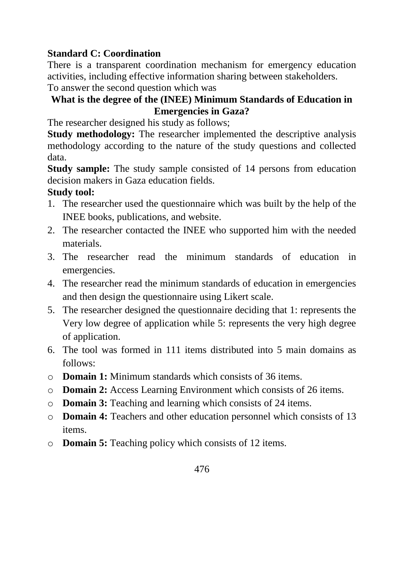# **Standard C: Coordination**

There is a transparent coordination mechanism for emergency education activities, including effective information sharing between stakeholders.

To answer the second question which was

# **What is the degree of the (INEE) Minimum Standards of Education in Emergencies in Gaza?**

The researcher designed his study as follows;

**Study methodology:** The researcher implemented the descriptive analysis methodology according to the nature of the study questions and collected data.

**Study sample:** The study sample consisted of 14 persons from education decision makers in Gaza education fields.

# **Study tool:**

- 1. The researcher used the questionnaire which was built by the help of the INEE books, publications, and website.
- 2. The researcher contacted the INEE who supported him with the needed materials.
- 3. The researcher read the minimum standards of education in emergencies.
- 4. The researcher read the minimum standards of education in emergencies and then design the questionnaire using Likert scale.
- 5. The researcher designed the questionnaire deciding that 1: represents the Very low degree of application while 5: represents the very high degree of application.
- 6. The tool was formed in 111 items distributed into 5 main domains as follows:
- o **Domain 1:** Minimum standards which consists of 36 items.
- o **Domain 2:** Access Learning Environment which consists of 26 items.
- o **Domain 3:** Teaching and learning which consists of 24 items.
- o **Domain 4:** Teachers and other education personnel which consists of 13 items.
- o **Domain 5:** Teaching policy which consists of 12 items.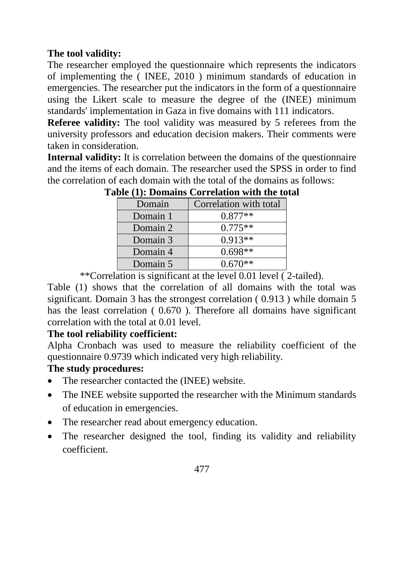# **The tool validity:**

The researcher employed the questionnaire which represents the indicators of implementing the ( INEE, 2010 ) minimum standards of education in emergencies. The researcher put the indicators in the form of a questionnaire using the Likert scale to measure the degree of the (INEE) minimum standards' implementation in Gaza in five domains with 111 indicators.

**Referee validity:** The tool validity was measured by 5 referees from the university professors and education decision makers. Their comments were taken in consideration.

**Internal validity:** It is correlation between the domains of the questionnaire and the items of each domain. The researcher used the SPSS in order to find the correlation of each domain with the total of the domains as follows:

|          | bic (17). Domains correlation with the to |
|----------|-------------------------------------------|
| Domain   | Correlation with total                    |
| Domain 1 | $0.877**$                                 |
| Domain 2 | $0.775**$                                 |
| Domain 3 | $0.913**$                                 |
| Domain 4 | $0.698**$                                 |
| Domain 5 | $0.670**$                                 |

**Table (1): Domains Correlation with the total**

\*\*Correlation is significant at the level 0.01 level ( 2-tailed).

Table (1) shows that the correlation of all domains with the total was significant. Domain 3 has the strongest correlation ( 0.913 ) while domain 5 has the least correlation (  $0.670$  ). Therefore all domains have significant correlation with the total at 0.01 level.

# **The tool reliability coefficient:**

Alpha Cronbach was used to measure the reliability coefficient of the questionnaire 0.9739 which indicated very high reliability.

# **The study procedures:**

- The researcher contacted the (INEE) website.
- The INEE website supported the researcher with the Minimum standards of education in emergencies.
- The researcher read about emergency education.
- The researcher designed the tool, finding its validity and reliability coefficient.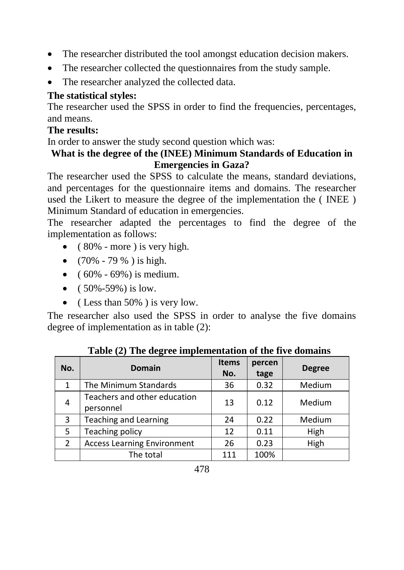- The researcher distributed the tool amongst education decision makers.
- The researcher collected the questionnaires from the study sample.
- The researcher analyzed the collected data.

# **The statistical styles:**

The researcher used the SPSS in order to find the frequencies, percentages, and means.

#### **The results:**

In order to answer the study second question which was:

## **What is the degree of the (INEE) Minimum Standards of Education in Emergencies in Gaza?**

The researcher used the SPSS to calculate the means, standard deviations, and percentages for the questionnaire items and domains. The researcher used the Likert to measure the degree of the implementation the ( INEE ) Minimum Standard of education in emergencies.

The researcher adapted the percentages to find the degree of the implementation as follows:

- $\bullet$  (80% more) is very high.
- $(70\% 79\%)$  is high.
- $(60\% 69\%)$  is medium.
- $(50\% 59\%)$  is low.
- (Less than  $50\%$ ) is very low.

The researcher also used the SPSS in order to analyse the five domains degree of implementation as in table (2):

| No.            | <b>Domain</b>                             | <b>Items</b><br>No. | percen<br>tage | <b>Degree</b> |
|----------------|-------------------------------------------|---------------------|----------------|---------------|
| $\mathbf{1}$   | The Minimum Standards                     | 36                  | 0.32           | Medium        |
| $\overline{4}$ | Teachers and other education<br>personnel | 13                  | 0.12           | Medium        |
| 3              | <b>Teaching and Learning</b>              | 24                  | 0.22           | Medium        |
| 5              | Teaching policy                           | 12                  | 0.11           | High          |
| 2              | <b>Access Learning Environment</b>        | 26                  | 0.23           | High          |
|                | The total                                 | 111                 | 100%           |               |

**Table (2) The degree implementation of the five domains**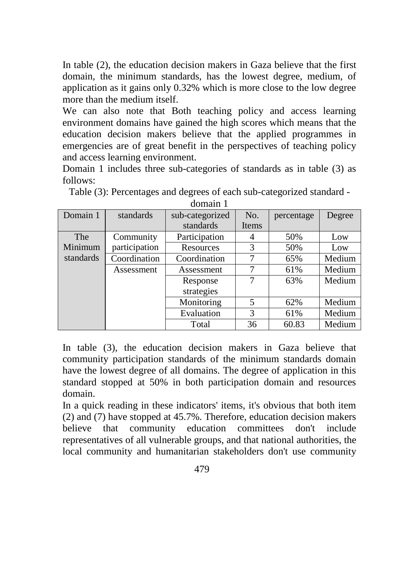In table (2), the education decision makers in Gaza believe that the first domain, the minimum standards, has the lowest degree, medium, of application as it gains only 0.32% which is more close to the low degree more than the medium itself.

We can also note that Both teaching policy and access learning environment domains have gained the high scores which means that the education decision makers believe that the applied programmes in emergencies are of great benefit in the perspectives of teaching policy and access learning environment.

Domain 1 includes three sub-categories of standards as in table (3) as follows:

| Domain 1   | standards     | sub-categorized | No.   | percentage | Degree |
|------------|---------------|-----------------|-------|------------|--------|
|            |               | standards       | Items |            |        |
| <b>The</b> | Community     | Participation   | 4     | 50%        | Low    |
| Minimum    | participation | Resources       | 3     | 50%        | Low    |
| standards  | Coordination  | Coordination    |       | 65%        | Medium |
|            | Assessment    | Assessment      | 7     | 61%        | Medium |
|            |               | Response        |       | 63%        | Medium |
|            |               | strategies      |       |            |        |
|            |               | Monitoring      | 5     | 62%        | Medium |
|            |               | Evaluation      | 3     | 61%        | Medium |
|            |               | Total           | 36    | 60.83      | Medium |

Table (3): Percentages and degrees of each sub-categorized standard domain 1

In table (3), the education decision makers in Gaza believe that community participation standards of the minimum standards domain have the lowest degree of all domains. The degree of application in this standard stopped at 50% in both participation domain and resources domain.

In a quick reading in these indicators' items, it's obvious that both item (2) and (7) have stopped at 45.7%. Therefore, education decision makers believe that community education committees don't include representatives of all vulnerable groups, and that national authorities, the local community and humanitarian stakeholders don't use community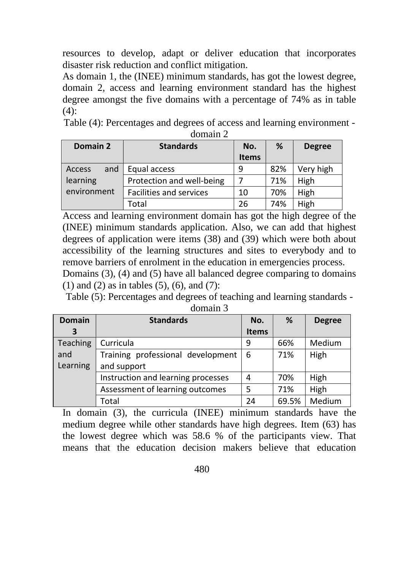resources to develop, adapt or deliver education that incorporates disaster risk reduction and conflict mitigation.

As domain 1, the (INEE) minimum standards, has got the lowest degree, domain 2, access and learning environment standard has the highest degree amongst the five domains with a percentage of 74% as in table  $(4)$ :

Table (4): Percentages and degrees of access and learning environment domain 2

| Domain 2      | <b>Standards</b>          | No.<br><b>Items</b> | %   | <b>Degree</b> |
|---------------|---------------------------|---------------------|-----|---------------|
| and<br>Access | Equal access              | ٩                   | 82% | Very high     |
| learning      | Protection and well-being |                     | 71% | High          |
| environment   | Facilities and services   | 10                  | 70% | High          |
|               | Total                     | 26                  | 74% | High          |

Access and learning environment domain has got the high degree of the (INEE) minimum standards application. Also, we can add that highest degrees of application were items (38) and (39) which were both about accessibility of the learning structures and sites to everybody and to remove barriers of enrolment in the education in emergencies process.

Domains (3), (4) and (5) have all balanced degree comparing to domains (1) and (2) as in tables (5), (6), and (7):

Table (5): Percentages and degrees of teaching and learning standards -

| domain 3 |  |
|----------|--|
|          |  |
|          |  |

| <b>Domain</b> | <b>Standards</b>                   | No.          | %     | <b>Degree</b> |
|---------------|------------------------------------|--------------|-------|---------------|
| З             |                                    | <b>Items</b> |       |               |
| Teaching      | Curricula                          | 9            | 66%   | Medium        |
| and           | Training professional development  | -6           | 71%   | High          |
| Learning      | and support                        |              |       |               |
|               | Instruction and learning processes | 4            | 70%   | High          |
|               | Assessment of learning outcomes    | 5            | 71%   | High          |
|               | Total                              | 24           | 69.5% | Medium        |

In domain (3), the curricula (INEE) minimum standards have the medium degree while other standards have high degrees. Item (63) has the lowest degree which was 58.6 % of the participants view. That means that the education decision makers believe that education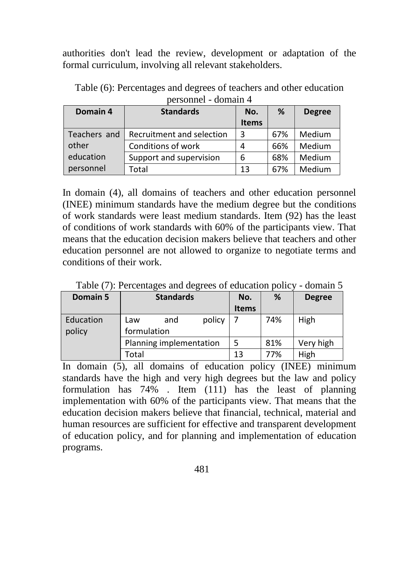authorities don't lead the review, development or adaptation of the formal curriculum, involving all relevant stakeholders.

| Domain 4     | <b>Standards</b>          | No.          | %   | <b>Degree</b> |
|--------------|---------------------------|--------------|-----|---------------|
|              |                           | <b>Items</b> |     |               |
| Teachers and | Recruitment and selection | 3            | 67% | Medium        |
| other        | Conditions of work        | 4            | 66% | Medium        |
| education    | Support and supervision   | 6            | 68% | Medium        |
| personnel    | Total                     | 13           | 67% | Medium        |

Table (6): Percentages and degrees of teachers and other education personnel - domain 4

In domain (4), all domains of teachers and other education personnel (INEE) minimum standards have the medium degree but the conditions of work standards were least medium standards. Item (92) has the least of conditions of work standards with 60% of the participants view. That means that the education decision makers believe that teachers and other education personnel are not allowed to organize to negotiate terms and conditions of their work.

| Domain 5  | <b>Standards</b>        |     | No.    | %            | <b>Degree</b> |      |
|-----------|-------------------------|-----|--------|--------------|---------------|------|
|           |                         |     |        | <b>Items</b> |               |      |
| Education | Law                     | and | policy |              | 74%           | High |
| policy    | formulation             |     |        |              |               |      |
|           | Planning implementation |     | 5      | 81%          | Very high     |      |
|           | Total                   |     | 13     | 77%          | High          |      |

Table (7): Percentages and degrees of education policy - domain 5

In domain (5), all domains of education policy (INEE) minimum standards have the high and very high degrees but the law and policy formulation has 74% . Item (111) has the least of planning implementation with 60% of the participants view. That means that the education decision makers believe that financial, technical, material and human resources are sufficient for effective and transparent development of education policy, and for planning and implementation of education programs.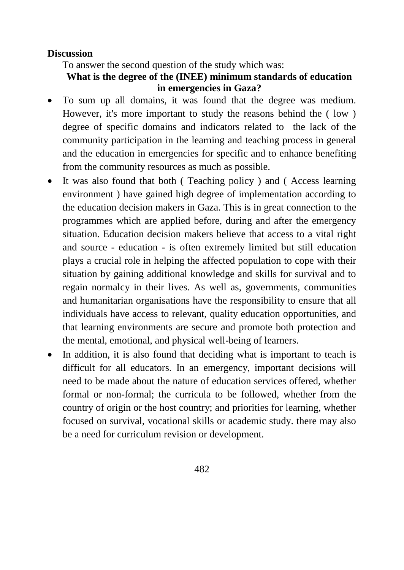#### **Discussion**

To answer the second question of the study which was:

## **What is the degree of the (INEE) minimum standards of education in emergencies in Gaza?**

- To sum up all domains, it was found that the degree was medium. However, it's more important to study the reasons behind the ( low ) degree of specific domains and indicators related to the lack of the community participation in the learning and teaching process in general and the education in emergencies for specific and to enhance benefiting from the community resources as much as possible.
- It was also found that both ( Teaching policy ) and ( Access learning environment ) have gained high degree of implementation according to the education decision makers in Gaza. This is in great connection to the programmes which are applied before, during and after the emergency situation. Education decision makers believe that access to a vital right and source - education - is often extremely limited but still education plays a crucial role in helping the affected population to cope with their situation by gaining additional knowledge and skills for survival and to regain normalcy in their lives. As well as, governments, communities and humanitarian organisations have the responsibility to ensure that all individuals have access to relevant, quality education opportunities, and that learning environments are secure and promote both protection and the mental, emotional, and physical well-being of learners.
- In addition, it is also found that deciding what is important to teach is difficult for all educators. In an emergency, important decisions will need to be made about the nature of education services offered, whether formal or non-formal; the curricula to be followed, whether from the country of origin or the host country; and priorities for learning, whether focused on survival, vocational skills or academic study. there may also be a need for curriculum revision or development.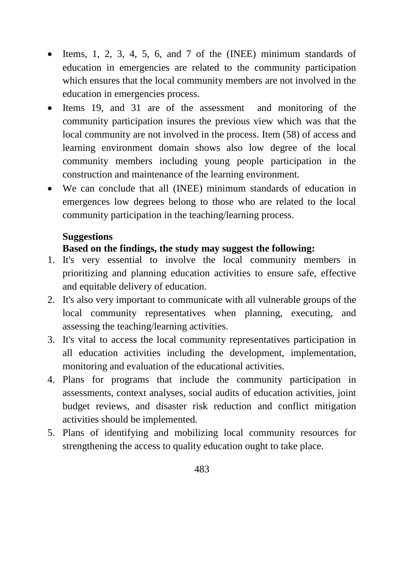- $\bullet$  Items, 1, 2, 3, 4, 5, 6, and 7 of the (INEE) minimum standards of education in emergencies are related to the community participation which ensures that the local community members are not involved in the education in emergencies process.
- Items 19, and 31 are of the assessment and monitoring of the community participation insures the previous view which was that the local community are not involved in the process. Item (58) of access and learning environment domain shows also low degree of the local community members including young people participation in the construction and maintenance of the learning environment.
- We can conclude that all (INEE) minimum standards of education in emergences low degrees belong to those who are related to the local community participation in the teaching/learning process.

#### **Suggestions**

#### **Based on the findings, the study may suggest the following:**

- 1. It's very essential to involve the local community members in prioritizing and planning education activities to ensure safe, effective and equitable delivery of education.
- 2. It's also very important to communicate with all vulnerable groups of the local community representatives when planning, executing, and assessing the teaching/learning activities.
- 3. It's vital to access the local community representatives participation in all education activities including the development, implementation, monitoring and evaluation of the educational activities.
- 4. Plans for programs that include the community participation in assessments, context analyses, social audits of education activities, joint budget reviews, and disaster risk reduction and conflict mitigation activities should be implemented.
- 5. Plans of identifying and mobilizing local community resources for strengthening the access to quality education ought to take place.